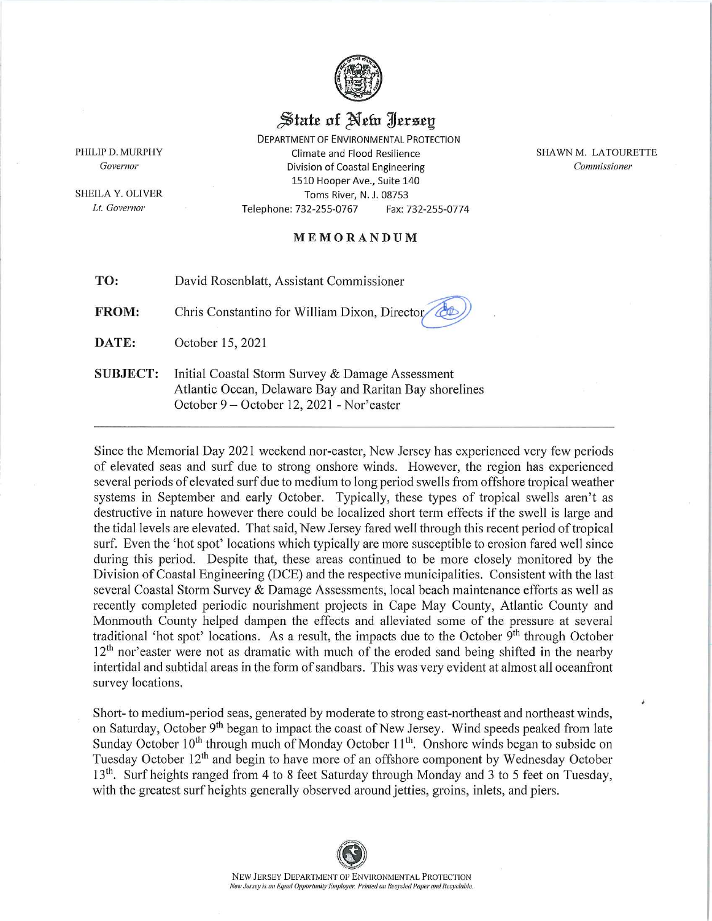

## State of New Iersey

**DEPARTMENT OF ENVIRONMENTAL PROTECTION** Climate and Flood Resilience Division of Coastal Engineering 1510 Hooper Ave., Suite 140 Toms River, N. J. 08753 Telephone: 732-255-0767 Fax: 732-255-0774

SHAWN M. LATOURETTE Commissioner

## MEMORANDUM

TO: David Rosenblatt, Assistant Commissioner

FROM: Chris Constantino for William Dixon, Director

DATE: October 15, 2021

PHILIP D. MURPHY

Governor

SHEILA Y. OLIVER

Lt. Governor

**SUBJECT:** Initial Coastal Storm Survey & Damage Assessment Atlantic Ocean, Delaware Bay and Raritan Bay shorelines October 9 – October 12, 2021 - Nor'easter

Since the Memorial Day 2021 weekend nor-easter, New Jersey has experienced very few periods of elevated seas and surf due to strong onshore winds. However, the region has experienced several periods of elevated surf due to medium to long period swells from offshore tropical weather systems in September and early October. Typically, these types of tropical swells aren't as destructive in nature however there could be localized short term effects if the swell is large and the tidal levels are elevated. That said, New Jersey fared well through this recent period of tropical surf. Even the 'hot spot' locations which typically are more susceptible to erosion fared well since during this period. Despite that, these areas continued to be more closely monitored by the Division of Coastal Engineering (DCE) and the respective municipalities. Consistent with the last several Coastal Storm Survey & Damage Assessments, local beach maintenance efforts as well as recently completed periodic nourishment projects in Cape May County, Atlantic County and Monmouth County helped dampen the effects and alleviated some of the pressure at several traditional 'hot spot' locations. As a result, the impacts due to the October 9<sup>th</sup> through October  $12<sup>th</sup>$  nor easter were not as dramatic with much of the eroded sand being shifted in the nearby intertidal and subtidal areas in the form of sandbars. This was very evident at almost all oceanfront survey locations.

Short-to medium-period seas, generated by moderate to strong east-northeast and northeast winds, on Saturday, October 9<sup>th</sup> began to impact the coast of New Jersey. Wind speeds peaked from late Sunday October 10<sup>th</sup> through much of Monday October 11<sup>th</sup>. Onshore winds began to subside on Tuesday October 12<sup>th</sup> and begin to have more of an offshore component by Wednesday October 13<sup>th</sup>. Surf heights ranged from 4 to 8 feet Saturday through Monday and 3 to 5 feet on Tuesday, with the greatest surf heights generally observed around jetties, groins, inlets, and piers.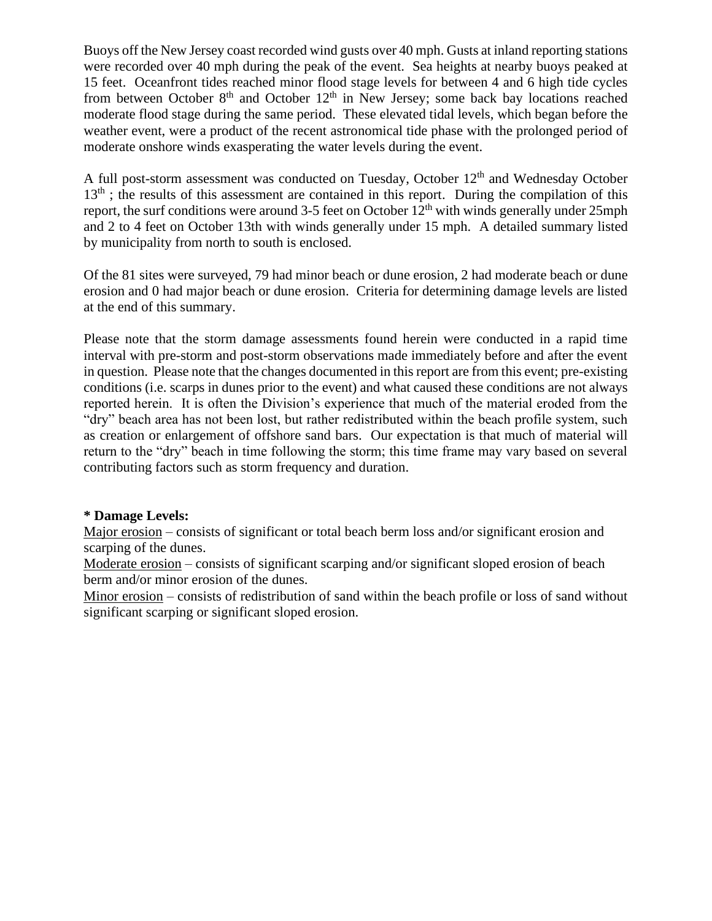Buoys off the New Jersey coast recorded wind gusts over 40 mph. Gusts at inland reporting stations were recorded over 40 mph during the peak of the event. Sea heights at nearby buoys peaked at 15 feet. Oceanfront tides reached minor flood stage levels for between 4 and 6 high tide cycles from between October  $8<sup>th</sup>$  and October  $12<sup>th</sup>$  in New Jersey; some back bay locations reached moderate flood stage during the same period. These elevated tidal levels, which began before the weather event, were a product of the recent astronomical tide phase with the prolonged period of moderate onshore winds exasperating the water levels during the event.

A full post-storm assessment was conducted on Tuesday, October 12<sup>th</sup> and Wednesday October 13<sup>th</sup>; the results of this assessment are contained in this report. During the compilation of this report, the surf conditions were around 3-5 feet on October  $12<sup>th</sup>$  with winds generally under  $25$ mph and 2 to 4 feet on October 13th with winds generally under 15 mph. A detailed summary listed by municipality from north to south is enclosed.

Of the 81 sites were surveyed, 79 had minor beach or dune erosion, 2 had moderate beach or dune erosion and 0 had major beach or dune erosion. Criteria for determining damage levels are listed at the end of this summary.

Please note that the storm damage assessments found herein were conducted in a rapid time interval with pre-storm and post-storm observations made immediately before and after the event in question. Please note that the changes documented in this report are from this event; pre-existing conditions (i.e. scarps in dunes prior to the event) and what caused these conditions are not always reported herein. It is often the Division's experience that much of the material eroded from the "dry" beach area has not been lost, but rather redistributed within the beach profile system, such as creation or enlargement of offshore sand bars. Our expectation is that much of material will return to the "dry" beach in time following the storm; this time frame may vary based on several contributing factors such as storm frequency and duration.

## **\* Damage Levels:**

Major erosion – consists of significant or total beach berm loss and/or significant erosion and scarping of the dunes.

Moderate erosion – consists of significant scarping and/or significant sloped erosion of beach berm and/or minor erosion of the dunes.

Minor erosion – consists of redistribution of sand within the beach profile or loss of sand without significant scarping or significant sloped erosion.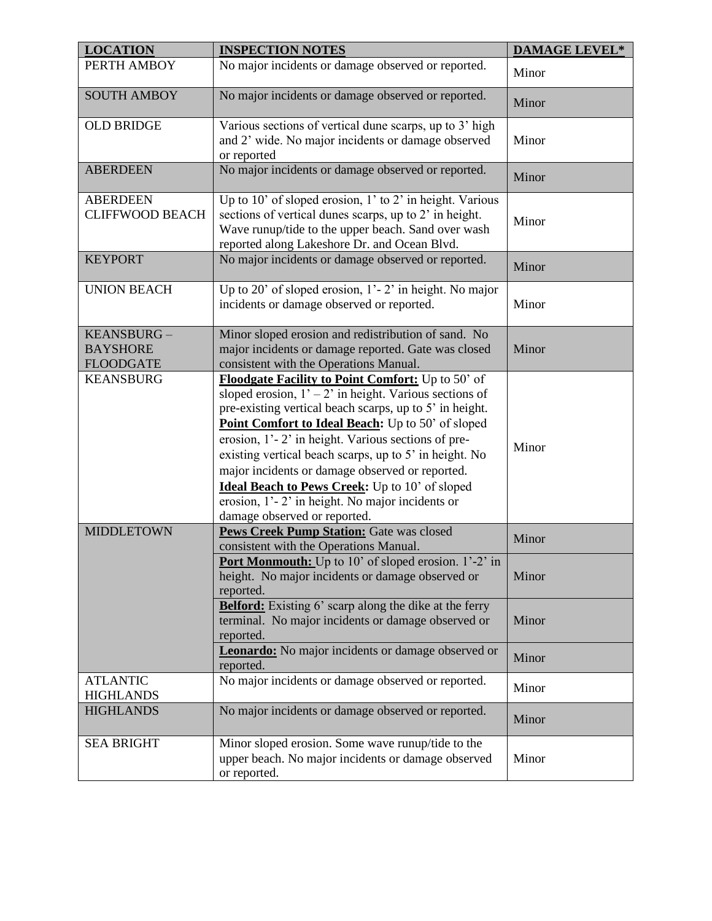| <b>LOCATION</b>                                   | <b>INSPECTION NOTES</b>                                                                                                                                                                                                                                                                                                                                                                                                                                                                                                                      | <b>DAMAGE LEVEL*</b> |
|---------------------------------------------------|----------------------------------------------------------------------------------------------------------------------------------------------------------------------------------------------------------------------------------------------------------------------------------------------------------------------------------------------------------------------------------------------------------------------------------------------------------------------------------------------------------------------------------------------|----------------------|
| PERTH AMBOY                                       | No major incidents or damage observed or reported.                                                                                                                                                                                                                                                                                                                                                                                                                                                                                           | Minor                |
| <b>SOUTH AMBOY</b>                                | No major incidents or damage observed or reported.                                                                                                                                                                                                                                                                                                                                                                                                                                                                                           | Minor                |
| <b>OLD BRIDGE</b>                                 | Various sections of vertical dune scarps, up to 3' high<br>and 2' wide. No major incidents or damage observed<br>or reported                                                                                                                                                                                                                                                                                                                                                                                                                 | Minor                |
| <b>ABERDEEN</b>                                   | No major incidents or damage observed or reported.                                                                                                                                                                                                                                                                                                                                                                                                                                                                                           | Minor                |
| <b>ABERDEEN</b><br><b>CLIFFWOOD BEACH</b>         | Up to 10' of sloped erosion, 1' to 2' in height. Various<br>sections of vertical dunes scarps, up to 2' in height.<br>Wave runup/tide to the upper beach. Sand over wash<br>reported along Lakeshore Dr. and Ocean Blvd.                                                                                                                                                                                                                                                                                                                     | Minor                |
| <b>KEYPORT</b>                                    | No major incidents or damage observed or reported.                                                                                                                                                                                                                                                                                                                                                                                                                                                                                           | Minor                |
| <b>UNION BEACH</b>                                | Up to 20' of sloped erosion, $1'$ - 2' in height. No major<br>incidents or damage observed or reported.                                                                                                                                                                                                                                                                                                                                                                                                                                      | Minor                |
| KEANSBURG-<br><b>BAYSHORE</b><br><b>FLOODGATE</b> | Minor sloped erosion and redistribution of sand. No<br>major incidents or damage reported. Gate was closed<br>consistent with the Operations Manual.                                                                                                                                                                                                                                                                                                                                                                                         | Minor                |
| <b>KEANSBURG</b>                                  | Floodgate Facility to Point Comfort: Up to 50' of<br>sloped erosion, $1' - 2'$ in height. Various sections of<br>pre-existing vertical beach scarps, up to 5' in height.<br>Point Comfort to Ideal Beach: Up to 50' of sloped<br>erosion, 1'-2' in height. Various sections of pre-<br>existing vertical beach scarps, up to 5' in height. No<br>major incidents or damage observed or reported.<br><b>Ideal Beach to Pews Creek:</b> Up to 10' of sloped<br>erosion, 1'-2' in height. No major incidents or<br>damage observed or reported. | Minor                |
| <b>MIDDLETOWN</b>                                 | Pews Creek Pump Station: Gate was closed<br>consistent with the Operations Manual.                                                                                                                                                                                                                                                                                                                                                                                                                                                           | Minor                |
|                                                   | Port Monmouth: Up to 10' of sloped erosion. 1'-2' in<br>height. No major incidents or damage observed or<br>reported.                                                                                                                                                                                                                                                                                                                                                                                                                        | Minor                |
|                                                   | <b>Belford:</b> Existing 6' scarp along the dike at the ferry<br>terminal. No major incidents or damage observed or<br>reported.                                                                                                                                                                                                                                                                                                                                                                                                             | Minor                |
|                                                   | <b>Leonardo:</b> No major incidents or damage observed or<br>reported.                                                                                                                                                                                                                                                                                                                                                                                                                                                                       | Minor                |
| <b>ATLANTIC</b><br><b>HIGHLANDS</b>               | No major incidents or damage observed or reported.                                                                                                                                                                                                                                                                                                                                                                                                                                                                                           | Minor                |
| <b>HIGHLANDS</b>                                  | No major incidents or damage observed or reported.                                                                                                                                                                                                                                                                                                                                                                                                                                                                                           | Minor                |
| <b>SEA BRIGHT</b>                                 | Minor sloped erosion. Some wave runup/tide to the<br>upper beach. No major incidents or damage observed<br>or reported.                                                                                                                                                                                                                                                                                                                                                                                                                      | Minor                |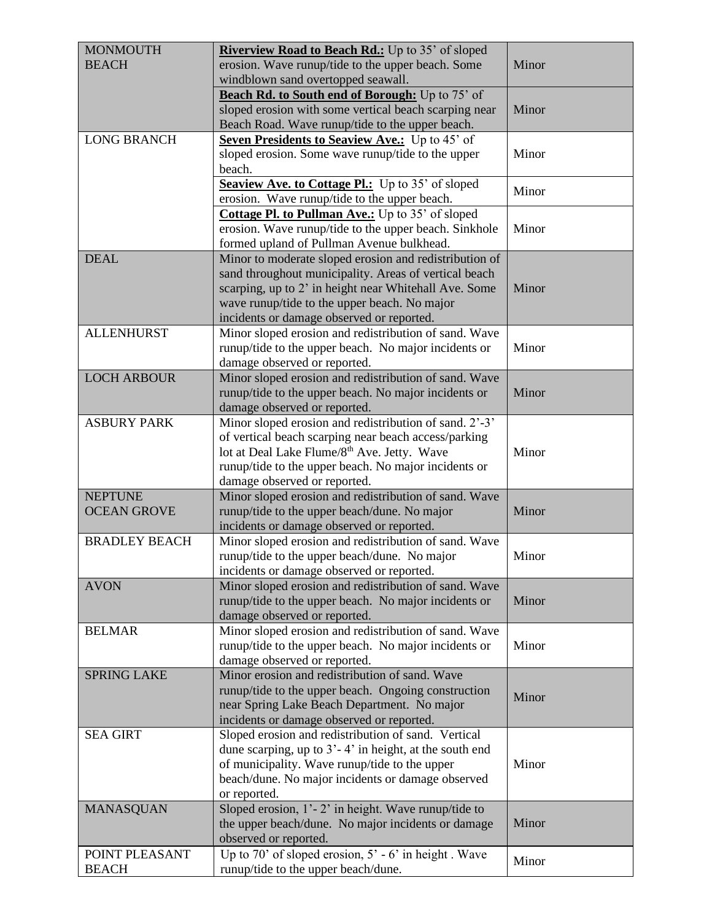| <b>MONMOUTH</b>      | Riverview Road to Beach Rd.: Up to 35' of sloped         |       |
|----------------------|----------------------------------------------------------|-------|
| <b>BEACH</b>         | erosion. Wave runup/tide to the upper beach. Some        | Minor |
|                      | windblown sand overtopped seawall.                       |       |
|                      |                                                          |       |
|                      | Beach Rd. to South end of Borough: Up to 75' of          |       |
|                      | sloped erosion with some vertical beach scarping near    | Minor |
|                      | Beach Road. Wave runup/tide to the upper beach.          |       |
| <b>LONG BRANCH</b>   | Seven Presidents to Seaview Ave.: Up to 45' of           |       |
|                      | sloped erosion. Some wave runup/tide to the upper        | Minor |
|                      | beach.                                                   |       |
|                      | Seaview Ave. to Cottage Pl.: Up to 35' of sloped         | Minor |
|                      | erosion. Wave runup/tide to the upper beach.             |       |
|                      | <b>Cottage Pl. to Pullman Ave.:</b> Up to 35' of sloped  |       |
|                      | erosion. Wave runup/tide to the upper beach. Sinkhole    | Minor |
|                      | formed upland of Pullman Avenue bulkhead.                |       |
| <b>DEAL</b>          | Minor to moderate sloped erosion and redistribution of   |       |
|                      | sand throughout municipality. Areas of vertical beach    |       |
|                      | scarping, up to 2' in height near Whitehall Ave. Some    | Minor |
|                      | wave runup/tide to the upper beach. No major             |       |
|                      | incidents or damage observed or reported.                |       |
| <b>ALLENHURST</b>    | Minor sloped erosion and redistribution of sand. Wave    |       |
|                      |                                                          |       |
|                      | runup/tide to the upper beach. No major incidents or     | Minor |
|                      | damage observed or reported.                             |       |
| <b>LOCH ARBOUR</b>   | Minor sloped erosion and redistribution of sand. Wave    |       |
|                      | runup/tide to the upper beach. No major incidents or     | Minor |
|                      | damage observed or reported.                             |       |
| <b>ASBURY PARK</b>   | Minor sloped erosion and redistribution of sand. 2'-3'   |       |
|                      | of vertical beach scarping near beach access/parking     |       |
|                      | lot at Deal Lake Flume/8 <sup>th</sup> Ave. Jetty. Wave  | Minor |
|                      | runup/tide to the upper beach. No major incidents or     |       |
|                      | damage observed or reported.                             |       |
| <b>NEPTUNE</b>       | Minor sloped erosion and redistribution of sand. Wave    |       |
| <b>OCEAN GROVE</b>   | runup/tide to the upper beach/dune. No major             | Minor |
|                      | incidents or damage observed or reported.                |       |
| <b>BRADLEY BEACH</b> | Minor sloped erosion and redistribution of sand. Wave    |       |
|                      | runup/tide to the upper beach/dune. No major             | Minor |
|                      | incidents or damage observed or reported.                |       |
| <b>AVON</b>          | Minor sloped erosion and redistribution of sand. Wave    |       |
|                      | runup/tide to the upper beach. No major incidents or     | Minor |
|                      | damage observed or reported.                             |       |
| <b>BELMAR</b>        |                                                          |       |
|                      | Minor sloped erosion and redistribution of sand. Wave    |       |
|                      | runup/tide to the upper beach. No major incidents or     | Minor |
|                      | damage observed or reported.                             |       |
| <b>SPRING LAKE</b>   | Minor erosion and redistribution of sand. Wave           |       |
|                      | runup/tide to the upper beach. Ongoing construction      | Minor |
|                      | near Spring Lake Beach Department. No major              |       |
|                      | incidents or damage observed or reported.                |       |
| <b>SEA GIRT</b>      | Sloped erosion and redistribution of sand. Vertical      |       |
|                      | dune scarping, up to 3'-4' in height, at the south end   |       |
|                      | of municipality. Wave runup/tide to the upper            | Minor |
|                      | beach/dune. No major incidents or damage observed        |       |
|                      | or reported.                                             |       |
| <b>MANASQUAN</b>     | Sloped erosion, $1'-2'$ in height. Wave runup/tide to    |       |
|                      | the upper beach/dune. No major incidents or damage       | Minor |
|                      | observed or reported.                                    |       |
| POINT PLEASANT       | Up to 70' of sloped erosion, $5'$ - $6'$ in height. Wave |       |
| <b>BEACH</b>         | runup/tide to the upper beach/dune.                      | Minor |
|                      |                                                          |       |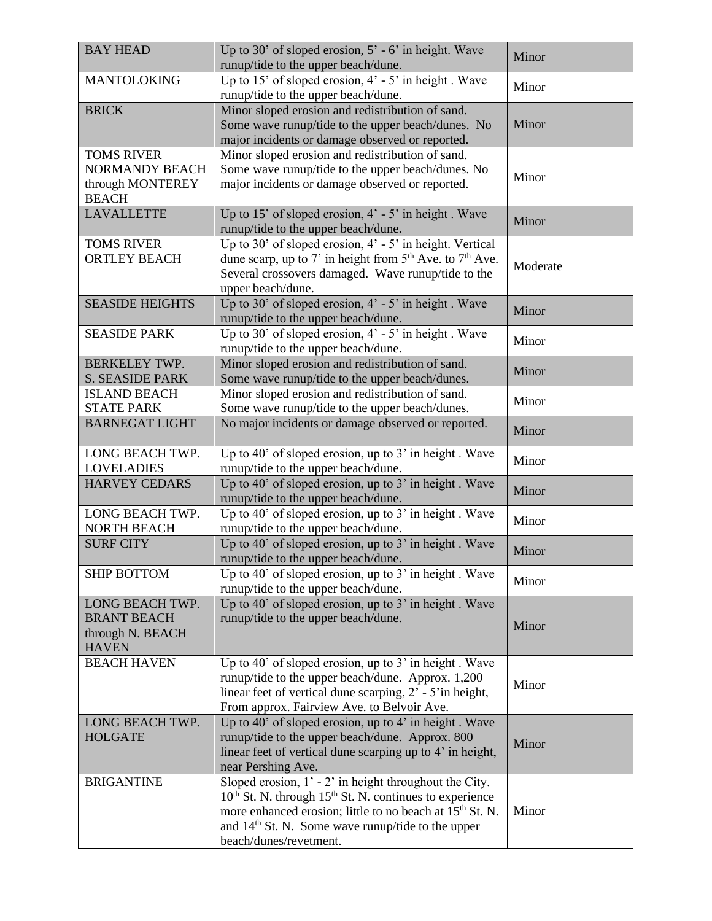| <b>BAY HEAD</b>                                                                | Up to 30' of sloped erosion, $5'$ - 6' in height. Wave<br>runup/tide to the upper beach/dune.                                                                                                                                                                                                | Minor    |
|--------------------------------------------------------------------------------|----------------------------------------------------------------------------------------------------------------------------------------------------------------------------------------------------------------------------------------------------------------------------------------------|----------|
| <b>MANTOLOKING</b>                                                             | Up to 15' of sloped erosion, 4' - 5' in height. Wave<br>runup/tide to the upper beach/dune.                                                                                                                                                                                                  | Minor    |
| <b>BRICK</b>                                                                   | Minor sloped erosion and redistribution of sand.<br>Some wave runup/tide to the upper beach/dunes. No<br>major incidents or damage observed or reported.                                                                                                                                     | Minor    |
| <b>TOMS RIVER</b><br><b>NORMANDY BEACH</b><br>through MONTEREY<br><b>BEACH</b> | Minor sloped erosion and redistribution of sand.<br>Some wave runup/tide to the upper beach/dunes. No<br>major incidents or damage observed or reported.                                                                                                                                     | Minor    |
| <b>LAVALLETTE</b>                                                              | Up to 15' of sloped erosion, $4'$ - 5' in height. Wave<br>runup/tide to the upper beach/dune.                                                                                                                                                                                                | Minor    |
| <b>TOMS RIVER</b><br><b>ORTLEY BEACH</b>                                       | Up to 30' of sloped erosion, $4'$ - 5' in height. Vertical<br>dune scarp, up to 7' in height from $5th$ Ave. to $7th$ Ave.<br>Several crossovers damaged. Wave runup/tide to the<br>upper beach/dune.                                                                                        | Moderate |
| <b>SEASIDE HEIGHTS</b>                                                         | Up to 30' of sloped erosion, $4'$ - 5' in height. Wave<br>runup/tide to the upper beach/dune.                                                                                                                                                                                                | Minor    |
| <b>SEASIDE PARK</b>                                                            | Up to 30' of sloped erosion, $4'$ - 5' in height. Wave<br>runup/tide to the upper beach/dune.                                                                                                                                                                                                | Minor    |
| <b>BERKELEY TWP.</b><br><b>S. SEASIDE PARK</b>                                 | Minor sloped erosion and redistribution of sand.<br>Some wave runup/tide to the upper beach/dunes.                                                                                                                                                                                           | Minor    |
| <b>ISLAND BEACH</b><br><b>STATE PARK</b>                                       | Minor sloped erosion and redistribution of sand.<br>Some wave runup/tide to the upper beach/dunes.                                                                                                                                                                                           | Minor    |
| <b>BARNEGAT LIGHT</b>                                                          | No major incidents or damage observed or reported.                                                                                                                                                                                                                                           | Minor    |
| LONG BEACH TWP.<br><b>LOVELADIES</b>                                           | Up to 40' of sloped erosion, up to 3' in height. Wave<br>runup/tide to the upper beach/dune.                                                                                                                                                                                                 | Minor    |
| <b>HARVEY CEDARS</b>                                                           | Up to 40' of sloped erosion, up to 3' in height. Wave<br>runup/tide to the upper beach/dune.                                                                                                                                                                                                 | Minor    |
| LONG BEACH TWP.<br><b>NORTH BEACH</b>                                          | Up to 40' of sloped erosion, up to 3' in height. Wave<br>runup/tide to the upper beach/dune.                                                                                                                                                                                                 | Minor    |
| <b>SURF CITY</b>                                                               | Up to 40' of sloped erosion, up to $3'$ in height. Wave<br>runup/tide to the upper beach/dune.                                                                                                                                                                                               | Minor    |
| <b>SHIP BOTTOM</b>                                                             | Up to 40' of sloped erosion, up to $3'$ in height. Wave<br>runup/tide to the upper beach/dune.                                                                                                                                                                                               | Minor    |
| LONG BEACH TWP.<br><b>BRANT BEACH</b><br>through N. BEACH<br><b>HAVEN</b>      | Up to 40' of sloped erosion, up to 3' in height. Wave<br>runup/tide to the upper beach/dune.                                                                                                                                                                                                 | Minor    |
| <b>BEACH HAVEN</b>                                                             | Up to 40' of sloped erosion, up to $3'$ in height. Wave<br>runup/tide to the upper beach/dune. Approx. 1,200<br>linear feet of vertical dune scarping, 2' - 5'in height,<br>From approx. Fairview Ave. to Belvoir Ave.                                                                       | Minor    |
| LONG BEACH TWP.<br><b>HOLGATE</b>                                              | Up to 40' of sloped erosion, up to 4' in height. Wave<br>runup/tide to the upper beach/dune. Approx. 800<br>linear feet of vertical dune scarping up to 4' in height,<br>near Pershing Ave.                                                                                                  | Minor    |
| <b>BRIGANTINE</b>                                                              | Sloped erosion, $1'$ - $2'$ in height throughout the City.<br>$10th$ St. N. through $15th$ St. N. continues to experience<br>more enhanced erosion; little to no beach at 15 <sup>th</sup> St. N.<br>and 14 <sup>th</sup> St. N. Some wave runup/tide to the upper<br>beach/dunes/revetment. | Minor    |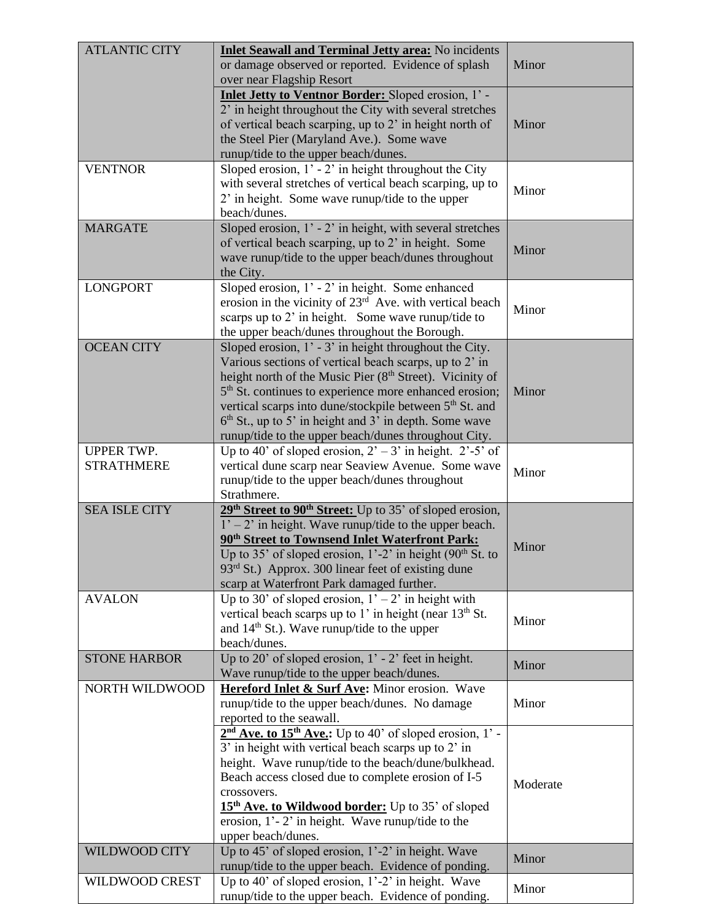| or damage observed or reported. Evidence of splash<br>Minor<br>over near Flagship Resort<br>Inlet Jetty to Ventnor Border: Sloped erosion, 1' -<br>2' in height throughout the City with several stretches<br>of vertical beach scarping, up to 2' in height north of<br>Minor<br>the Steel Pier (Maryland Ave.). Some wave<br>runup/tide to the upper beach/dunes.<br>Sloped erosion, 1' - 2' in height throughout the City<br><b>VENTNOR</b><br>with several stretches of vertical beach scarping, up to<br>Minor<br>2' in height. Some wave runup/tide to the upper<br>beach/dunes.<br><b>MARGATE</b><br>Sloped erosion, $1'$ - $2'$ in height, with several stretches<br>of vertical beach scarping, up to 2' in height. Some<br>Minor<br>wave runup/tide to the upper beach/dunes throughout<br>the City.<br>Sloped erosion, 1' - 2' in height. Some enhanced<br><b>LONGPORT</b><br>erosion in the vicinity of $23rd$ Ave. with vertical beach<br>Minor<br>scarps up to 2' in height. Some wave runup/tide to<br>the upper beach/dunes throughout the Borough.<br><b>OCEAN CITY</b><br>Sloped erosion, $1'$ - 3' in height throughout the City.<br>Various sections of vertical beach scarps, up to 2' in<br>height north of the Music Pier (8 <sup>th</sup> Street). Vicinity of<br>5 <sup>th</sup> St. continues to experience more enhanced erosion;<br>Minor<br>vertical scarps into dune/stockpile between 5 <sup>th</sup> St. and<br>$6th$ St., up to 5' in height and 3' in depth. Some wave<br>runup/tide to the upper beach/dunes throughout City.<br>Up to 40' of sloped erosion, $2^{\circ}$ – 3' in height. 2'-5' of<br><b>UPPER TWP.</b><br>vertical dune scarp near Seaview Avenue. Some wave<br><b>STRATHMERE</b><br>Minor<br>runup/tide to the upper beach/dunes throughout<br>Strathmere.<br>29 <sup>th</sup> Street to 90 <sup>th</sup> Street: Up to 35' of sloped erosion,<br><b>SEA ISLE CITY</b><br>$1' - 2'$ in height. Wave runup/tide to the upper beach.<br>90 <sup>th</sup> Street to Townsend Inlet Waterfront Park:<br>Minor<br>Up to 35' of sloped erosion, $1'-2'$ in height (90 <sup>th</sup> St. to<br>93 <sup>rd</sup> St.) Approx. 300 linear feet of existing dune<br>scarp at Waterfront Park damaged further.<br>Up to 30' of sloped erosion, $1' - 2'$ in height with<br><b>AVALON</b><br>vertical beach scarps up to 1' in height (near 13 <sup>th</sup> St.<br>Minor<br>and 14 <sup>th</sup> St.). Wave runup/tide to the upper<br>beach/dunes.<br>Up to 20' of sloped erosion, $1'$ - 2' feet in height.<br><b>STONE HARBOR</b><br>Minor<br>Wave runup/tide to the upper beach/dunes.<br>Hereford Inlet & Surf Ave: Minor erosion. Wave<br><b>NORTH WILDWOOD</b><br>Minor<br>runup/tide to the upper beach/dunes. No damage<br>reported to the seawall.<br>$2nd$ Ave. to 15 <sup>th</sup> Ave.: Up to 40' of sloped erosion, 1' -<br>3' in height with vertical beach scarps up to 2' in<br>height. Wave runup/tide to the beach/dune/bulkhead.<br>Beach access closed due to complete erosion of I-5<br>Moderate<br>crossovers.<br>15 <sup>th</sup> Ave. to Wildwood border: Up to 35' of sloped<br>erosion, $1'-2'$ in height. Wave runup/tide to the<br>upper beach/dunes.<br>Up to 45' of sloped erosion, 1'-2' in height. Wave<br>WILDWOOD CITY<br>Minor<br>runup/tide to the upper beach. Evidence of ponding.<br>Up to 40' of sloped erosion, $1'-2'$ in height. Wave<br><b>WILDWOOD CREST</b><br>Minor | <b>ATLANTIC CITY</b> | Inlet Seawall and Terminal Jetty area: No incidents |  |
|---------------------------------------------------------------------------------------------------------------------------------------------------------------------------------------------------------------------------------------------------------------------------------------------------------------------------------------------------------------------------------------------------------------------------------------------------------------------------------------------------------------------------------------------------------------------------------------------------------------------------------------------------------------------------------------------------------------------------------------------------------------------------------------------------------------------------------------------------------------------------------------------------------------------------------------------------------------------------------------------------------------------------------------------------------------------------------------------------------------------------------------------------------------------------------------------------------------------------------------------------------------------------------------------------------------------------------------------------------------------------------------------------------------------------------------------------------------------------------------------------------------------------------------------------------------------------------------------------------------------------------------------------------------------------------------------------------------------------------------------------------------------------------------------------------------------------------------------------------------------------------------------------------------------------------------------------------------------------------------------------------------------------------------------------------------------------------------------------------------------------------------------------------------------------------------------------------------------------------------------------------------------------------------------------------------------------------------------------------------------------------------------------------------------------------------------------------------------------------------------------------------------------------------------------------------------------------------------------------------------------------------------------------------------------------------------------------------------------------------------------------------------------------------------------------------------------------------------------------------------------------------------------------------------------------------------------------------------------------------------------------------------------------------------------------------------------------------------------------------------------------------------------------------------------------------------------------------------------------------------------------------------------------------------------------------------------------------------------------------------------------------------------------------------------------------------------------------|----------------------|-----------------------------------------------------|--|
|                                                                                                                                                                                                                                                                                                                                                                                                                                                                                                                                                                                                                                                                                                                                                                                                                                                                                                                                                                                                                                                                                                                                                                                                                                                                                                                                                                                                                                                                                                                                                                                                                                                                                                                                                                                                                                                                                                                                                                                                                                                                                                                                                                                                                                                                                                                                                                                                                                                                                                                                                                                                                                                                                                                                                                                                                                                                                                                                                                                                                                                                                                                                                                                                                                                                                                                                                                                                                                                               |                      |                                                     |  |
|                                                                                                                                                                                                                                                                                                                                                                                                                                                                                                                                                                                                                                                                                                                                                                                                                                                                                                                                                                                                                                                                                                                                                                                                                                                                                                                                                                                                                                                                                                                                                                                                                                                                                                                                                                                                                                                                                                                                                                                                                                                                                                                                                                                                                                                                                                                                                                                                                                                                                                                                                                                                                                                                                                                                                                                                                                                                                                                                                                                                                                                                                                                                                                                                                                                                                                                                                                                                                                                               |                      |                                                     |  |
|                                                                                                                                                                                                                                                                                                                                                                                                                                                                                                                                                                                                                                                                                                                                                                                                                                                                                                                                                                                                                                                                                                                                                                                                                                                                                                                                                                                                                                                                                                                                                                                                                                                                                                                                                                                                                                                                                                                                                                                                                                                                                                                                                                                                                                                                                                                                                                                                                                                                                                                                                                                                                                                                                                                                                                                                                                                                                                                                                                                                                                                                                                                                                                                                                                                                                                                                                                                                                                                               |                      |                                                     |  |
|                                                                                                                                                                                                                                                                                                                                                                                                                                                                                                                                                                                                                                                                                                                                                                                                                                                                                                                                                                                                                                                                                                                                                                                                                                                                                                                                                                                                                                                                                                                                                                                                                                                                                                                                                                                                                                                                                                                                                                                                                                                                                                                                                                                                                                                                                                                                                                                                                                                                                                                                                                                                                                                                                                                                                                                                                                                                                                                                                                                                                                                                                                                                                                                                                                                                                                                                                                                                                                                               |                      |                                                     |  |
|                                                                                                                                                                                                                                                                                                                                                                                                                                                                                                                                                                                                                                                                                                                                                                                                                                                                                                                                                                                                                                                                                                                                                                                                                                                                                                                                                                                                                                                                                                                                                                                                                                                                                                                                                                                                                                                                                                                                                                                                                                                                                                                                                                                                                                                                                                                                                                                                                                                                                                                                                                                                                                                                                                                                                                                                                                                                                                                                                                                                                                                                                                                                                                                                                                                                                                                                                                                                                                                               |                      |                                                     |  |
|                                                                                                                                                                                                                                                                                                                                                                                                                                                                                                                                                                                                                                                                                                                                                                                                                                                                                                                                                                                                                                                                                                                                                                                                                                                                                                                                                                                                                                                                                                                                                                                                                                                                                                                                                                                                                                                                                                                                                                                                                                                                                                                                                                                                                                                                                                                                                                                                                                                                                                                                                                                                                                                                                                                                                                                                                                                                                                                                                                                                                                                                                                                                                                                                                                                                                                                                                                                                                                                               |                      |                                                     |  |
|                                                                                                                                                                                                                                                                                                                                                                                                                                                                                                                                                                                                                                                                                                                                                                                                                                                                                                                                                                                                                                                                                                                                                                                                                                                                                                                                                                                                                                                                                                                                                                                                                                                                                                                                                                                                                                                                                                                                                                                                                                                                                                                                                                                                                                                                                                                                                                                                                                                                                                                                                                                                                                                                                                                                                                                                                                                                                                                                                                                                                                                                                                                                                                                                                                                                                                                                                                                                                                                               |                      |                                                     |  |
|                                                                                                                                                                                                                                                                                                                                                                                                                                                                                                                                                                                                                                                                                                                                                                                                                                                                                                                                                                                                                                                                                                                                                                                                                                                                                                                                                                                                                                                                                                                                                                                                                                                                                                                                                                                                                                                                                                                                                                                                                                                                                                                                                                                                                                                                                                                                                                                                                                                                                                                                                                                                                                                                                                                                                                                                                                                                                                                                                                                                                                                                                                                                                                                                                                                                                                                                                                                                                                                               |                      |                                                     |  |
|                                                                                                                                                                                                                                                                                                                                                                                                                                                                                                                                                                                                                                                                                                                                                                                                                                                                                                                                                                                                                                                                                                                                                                                                                                                                                                                                                                                                                                                                                                                                                                                                                                                                                                                                                                                                                                                                                                                                                                                                                                                                                                                                                                                                                                                                                                                                                                                                                                                                                                                                                                                                                                                                                                                                                                                                                                                                                                                                                                                                                                                                                                                                                                                                                                                                                                                                                                                                                                                               |                      |                                                     |  |
|                                                                                                                                                                                                                                                                                                                                                                                                                                                                                                                                                                                                                                                                                                                                                                                                                                                                                                                                                                                                                                                                                                                                                                                                                                                                                                                                                                                                                                                                                                                                                                                                                                                                                                                                                                                                                                                                                                                                                                                                                                                                                                                                                                                                                                                                                                                                                                                                                                                                                                                                                                                                                                                                                                                                                                                                                                                                                                                                                                                                                                                                                                                                                                                                                                                                                                                                                                                                                                                               |                      |                                                     |  |
|                                                                                                                                                                                                                                                                                                                                                                                                                                                                                                                                                                                                                                                                                                                                                                                                                                                                                                                                                                                                                                                                                                                                                                                                                                                                                                                                                                                                                                                                                                                                                                                                                                                                                                                                                                                                                                                                                                                                                                                                                                                                                                                                                                                                                                                                                                                                                                                                                                                                                                                                                                                                                                                                                                                                                                                                                                                                                                                                                                                                                                                                                                                                                                                                                                                                                                                                                                                                                                                               |                      |                                                     |  |
|                                                                                                                                                                                                                                                                                                                                                                                                                                                                                                                                                                                                                                                                                                                                                                                                                                                                                                                                                                                                                                                                                                                                                                                                                                                                                                                                                                                                                                                                                                                                                                                                                                                                                                                                                                                                                                                                                                                                                                                                                                                                                                                                                                                                                                                                                                                                                                                                                                                                                                                                                                                                                                                                                                                                                                                                                                                                                                                                                                                                                                                                                                                                                                                                                                                                                                                                                                                                                                                               |                      |                                                     |  |
|                                                                                                                                                                                                                                                                                                                                                                                                                                                                                                                                                                                                                                                                                                                                                                                                                                                                                                                                                                                                                                                                                                                                                                                                                                                                                                                                                                                                                                                                                                                                                                                                                                                                                                                                                                                                                                                                                                                                                                                                                                                                                                                                                                                                                                                                                                                                                                                                                                                                                                                                                                                                                                                                                                                                                                                                                                                                                                                                                                                                                                                                                                                                                                                                                                                                                                                                                                                                                                                               |                      |                                                     |  |
|                                                                                                                                                                                                                                                                                                                                                                                                                                                                                                                                                                                                                                                                                                                                                                                                                                                                                                                                                                                                                                                                                                                                                                                                                                                                                                                                                                                                                                                                                                                                                                                                                                                                                                                                                                                                                                                                                                                                                                                                                                                                                                                                                                                                                                                                                                                                                                                                                                                                                                                                                                                                                                                                                                                                                                                                                                                                                                                                                                                                                                                                                                                                                                                                                                                                                                                                                                                                                                                               |                      |                                                     |  |
|                                                                                                                                                                                                                                                                                                                                                                                                                                                                                                                                                                                                                                                                                                                                                                                                                                                                                                                                                                                                                                                                                                                                                                                                                                                                                                                                                                                                                                                                                                                                                                                                                                                                                                                                                                                                                                                                                                                                                                                                                                                                                                                                                                                                                                                                                                                                                                                                                                                                                                                                                                                                                                                                                                                                                                                                                                                                                                                                                                                                                                                                                                                                                                                                                                                                                                                                                                                                                                                               |                      |                                                     |  |
|                                                                                                                                                                                                                                                                                                                                                                                                                                                                                                                                                                                                                                                                                                                                                                                                                                                                                                                                                                                                                                                                                                                                                                                                                                                                                                                                                                                                                                                                                                                                                                                                                                                                                                                                                                                                                                                                                                                                                                                                                                                                                                                                                                                                                                                                                                                                                                                                                                                                                                                                                                                                                                                                                                                                                                                                                                                                                                                                                                                                                                                                                                                                                                                                                                                                                                                                                                                                                                                               |                      |                                                     |  |
|                                                                                                                                                                                                                                                                                                                                                                                                                                                                                                                                                                                                                                                                                                                                                                                                                                                                                                                                                                                                                                                                                                                                                                                                                                                                                                                                                                                                                                                                                                                                                                                                                                                                                                                                                                                                                                                                                                                                                                                                                                                                                                                                                                                                                                                                                                                                                                                                                                                                                                                                                                                                                                                                                                                                                                                                                                                                                                                                                                                                                                                                                                                                                                                                                                                                                                                                                                                                                                                               |                      |                                                     |  |
|                                                                                                                                                                                                                                                                                                                                                                                                                                                                                                                                                                                                                                                                                                                                                                                                                                                                                                                                                                                                                                                                                                                                                                                                                                                                                                                                                                                                                                                                                                                                                                                                                                                                                                                                                                                                                                                                                                                                                                                                                                                                                                                                                                                                                                                                                                                                                                                                                                                                                                                                                                                                                                                                                                                                                                                                                                                                                                                                                                                                                                                                                                                                                                                                                                                                                                                                                                                                                                                               |                      |                                                     |  |
|                                                                                                                                                                                                                                                                                                                                                                                                                                                                                                                                                                                                                                                                                                                                                                                                                                                                                                                                                                                                                                                                                                                                                                                                                                                                                                                                                                                                                                                                                                                                                                                                                                                                                                                                                                                                                                                                                                                                                                                                                                                                                                                                                                                                                                                                                                                                                                                                                                                                                                                                                                                                                                                                                                                                                                                                                                                                                                                                                                                                                                                                                                                                                                                                                                                                                                                                                                                                                                                               |                      |                                                     |  |
|                                                                                                                                                                                                                                                                                                                                                                                                                                                                                                                                                                                                                                                                                                                                                                                                                                                                                                                                                                                                                                                                                                                                                                                                                                                                                                                                                                                                                                                                                                                                                                                                                                                                                                                                                                                                                                                                                                                                                                                                                                                                                                                                                                                                                                                                                                                                                                                                                                                                                                                                                                                                                                                                                                                                                                                                                                                                                                                                                                                                                                                                                                                                                                                                                                                                                                                                                                                                                                                               |                      |                                                     |  |
|                                                                                                                                                                                                                                                                                                                                                                                                                                                                                                                                                                                                                                                                                                                                                                                                                                                                                                                                                                                                                                                                                                                                                                                                                                                                                                                                                                                                                                                                                                                                                                                                                                                                                                                                                                                                                                                                                                                                                                                                                                                                                                                                                                                                                                                                                                                                                                                                                                                                                                                                                                                                                                                                                                                                                                                                                                                                                                                                                                                                                                                                                                                                                                                                                                                                                                                                                                                                                                                               |                      |                                                     |  |
|                                                                                                                                                                                                                                                                                                                                                                                                                                                                                                                                                                                                                                                                                                                                                                                                                                                                                                                                                                                                                                                                                                                                                                                                                                                                                                                                                                                                                                                                                                                                                                                                                                                                                                                                                                                                                                                                                                                                                                                                                                                                                                                                                                                                                                                                                                                                                                                                                                                                                                                                                                                                                                                                                                                                                                                                                                                                                                                                                                                                                                                                                                                                                                                                                                                                                                                                                                                                                                                               |                      |                                                     |  |
|                                                                                                                                                                                                                                                                                                                                                                                                                                                                                                                                                                                                                                                                                                                                                                                                                                                                                                                                                                                                                                                                                                                                                                                                                                                                                                                                                                                                                                                                                                                                                                                                                                                                                                                                                                                                                                                                                                                                                                                                                                                                                                                                                                                                                                                                                                                                                                                                                                                                                                                                                                                                                                                                                                                                                                                                                                                                                                                                                                                                                                                                                                                                                                                                                                                                                                                                                                                                                                                               |                      |                                                     |  |
|                                                                                                                                                                                                                                                                                                                                                                                                                                                                                                                                                                                                                                                                                                                                                                                                                                                                                                                                                                                                                                                                                                                                                                                                                                                                                                                                                                                                                                                                                                                                                                                                                                                                                                                                                                                                                                                                                                                                                                                                                                                                                                                                                                                                                                                                                                                                                                                                                                                                                                                                                                                                                                                                                                                                                                                                                                                                                                                                                                                                                                                                                                                                                                                                                                                                                                                                                                                                                                                               |                      |                                                     |  |
|                                                                                                                                                                                                                                                                                                                                                                                                                                                                                                                                                                                                                                                                                                                                                                                                                                                                                                                                                                                                                                                                                                                                                                                                                                                                                                                                                                                                                                                                                                                                                                                                                                                                                                                                                                                                                                                                                                                                                                                                                                                                                                                                                                                                                                                                                                                                                                                                                                                                                                                                                                                                                                                                                                                                                                                                                                                                                                                                                                                                                                                                                                                                                                                                                                                                                                                                                                                                                                                               |                      |                                                     |  |
|                                                                                                                                                                                                                                                                                                                                                                                                                                                                                                                                                                                                                                                                                                                                                                                                                                                                                                                                                                                                                                                                                                                                                                                                                                                                                                                                                                                                                                                                                                                                                                                                                                                                                                                                                                                                                                                                                                                                                                                                                                                                                                                                                                                                                                                                                                                                                                                                                                                                                                                                                                                                                                                                                                                                                                                                                                                                                                                                                                                                                                                                                                                                                                                                                                                                                                                                                                                                                                                               |                      |                                                     |  |
|                                                                                                                                                                                                                                                                                                                                                                                                                                                                                                                                                                                                                                                                                                                                                                                                                                                                                                                                                                                                                                                                                                                                                                                                                                                                                                                                                                                                                                                                                                                                                                                                                                                                                                                                                                                                                                                                                                                                                                                                                                                                                                                                                                                                                                                                                                                                                                                                                                                                                                                                                                                                                                                                                                                                                                                                                                                                                                                                                                                                                                                                                                                                                                                                                                                                                                                                                                                                                                                               |                      |                                                     |  |
|                                                                                                                                                                                                                                                                                                                                                                                                                                                                                                                                                                                                                                                                                                                                                                                                                                                                                                                                                                                                                                                                                                                                                                                                                                                                                                                                                                                                                                                                                                                                                                                                                                                                                                                                                                                                                                                                                                                                                                                                                                                                                                                                                                                                                                                                                                                                                                                                                                                                                                                                                                                                                                                                                                                                                                                                                                                                                                                                                                                                                                                                                                                                                                                                                                                                                                                                                                                                                                                               |                      |                                                     |  |
|                                                                                                                                                                                                                                                                                                                                                                                                                                                                                                                                                                                                                                                                                                                                                                                                                                                                                                                                                                                                                                                                                                                                                                                                                                                                                                                                                                                                                                                                                                                                                                                                                                                                                                                                                                                                                                                                                                                                                                                                                                                                                                                                                                                                                                                                                                                                                                                                                                                                                                                                                                                                                                                                                                                                                                                                                                                                                                                                                                                                                                                                                                                                                                                                                                                                                                                                                                                                                                                               |                      |                                                     |  |
|                                                                                                                                                                                                                                                                                                                                                                                                                                                                                                                                                                                                                                                                                                                                                                                                                                                                                                                                                                                                                                                                                                                                                                                                                                                                                                                                                                                                                                                                                                                                                                                                                                                                                                                                                                                                                                                                                                                                                                                                                                                                                                                                                                                                                                                                                                                                                                                                                                                                                                                                                                                                                                                                                                                                                                                                                                                                                                                                                                                                                                                                                                                                                                                                                                                                                                                                                                                                                                                               |                      |                                                     |  |
|                                                                                                                                                                                                                                                                                                                                                                                                                                                                                                                                                                                                                                                                                                                                                                                                                                                                                                                                                                                                                                                                                                                                                                                                                                                                                                                                                                                                                                                                                                                                                                                                                                                                                                                                                                                                                                                                                                                                                                                                                                                                                                                                                                                                                                                                                                                                                                                                                                                                                                                                                                                                                                                                                                                                                                                                                                                                                                                                                                                                                                                                                                                                                                                                                                                                                                                                                                                                                                                               |                      |                                                     |  |
|                                                                                                                                                                                                                                                                                                                                                                                                                                                                                                                                                                                                                                                                                                                                                                                                                                                                                                                                                                                                                                                                                                                                                                                                                                                                                                                                                                                                                                                                                                                                                                                                                                                                                                                                                                                                                                                                                                                                                                                                                                                                                                                                                                                                                                                                                                                                                                                                                                                                                                                                                                                                                                                                                                                                                                                                                                                                                                                                                                                                                                                                                                                                                                                                                                                                                                                                                                                                                                                               |                      |                                                     |  |
|                                                                                                                                                                                                                                                                                                                                                                                                                                                                                                                                                                                                                                                                                                                                                                                                                                                                                                                                                                                                                                                                                                                                                                                                                                                                                                                                                                                                                                                                                                                                                                                                                                                                                                                                                                                                                                                                                                                                                                                                                                                                                                                                                                                                                                                                                                                                                                                                                                                                                                                                                                                                                                                                                                                                                                                                                                                                                                                                                                                                                                                                                                                                                                                                                                                                                                                                                                                                                                                               |                      |                                                     |  |
|                                                                                                                                                                                                                                                                                                                                                                                                                                                                                                                                                                                                                                                                                                                                                                                                                                                                                                                                                                                                                                                                                                                                                                                                                                                                                                                                                                                                                                                                                                                                                                                                                                                                                                                                                                                                                                                                                                                                                                                                                                                                                                                                                                                                                                                                                                                                                                                                                                                                                                                                                                                                                                                                                                                                                                                                                                                                                                                                                                                                                                                                                                                                                                                                                                                                                                                                                                                                                                                               |                      |                                                     |  |
|                                                                                                                                                                                                                                                                                                                                                                                                                                                                                                                                                                                                                                                                                                                                                                                                                                                                                                                                                                                                                                                                                                                                                                                                                                                                                                                                                                                                                                                                                                                                                                                                                                                                                                                                                                                                                                                                                                                                                                                                                                                                                                                                                                                                                                                                                                                                                                                                                                                                                                                                                                                                                                                                                                                                                                                                                                                                                                                                                                                                                                                                                                                                                                                                                                                                                                                                                                                                                                                               |                      |                                                     |  |
|                                                                                                                                                                                                                                                                                                                                                                                                                                                                                                                                                                                                                                                                                                                                                                                                                                                                                                                                                                                                                                                                                                                                                                                                                                                                                                                                                                                                                                                                                                                                                                                                                                                                                                                                                                                                                                                                                                                                                                                                                                                                                                                                                                                                                                                                                                                                                                                                                                                                                                                                                                                                                                                                                                                                                                                                                                                                                                                                                                                                                                                                                                                                                                                                                                                                                                                                                                                                                                                               |                      |                                                     |  |
|                                                                                                                                                                                                                                                                                                                                                                                                                                                                                                                                                                                                                                                                                                                                                                                                                                                                                                                                                                                                                                                                                                                                                                                                                                                                                                                                                                                                                                                                                                                                                                                                                                                                                                                                                                                                                                                                                                                                                                                                                                                                                                                                                                                                                                                                                                                                                                                                                                                                                                                                                                                                                                                                                                                                                                                                                                                                                                                                                                                                                                                                                                                                                                                                                                                                                                                                                                                                                                                               |                      |                                                     |  |
|                                                                                                                                                                                                                                                                                                                                                                                                                                                                                                                                                                                                                                                                                                                                                                                                                                                                                                                                                                                                                                                                                                                                                                                                                                                                                                                                                                                                                                                                                                                                                                                                                                                                                                                                                                                                                                                                                                                                                                                                                                                                                                                                                                                                                                                                                                                                                                                                                                                                                                                                                                                                                                                                                                                                                                                                                                                                                                                                                                                                                                                                                                                                                                                                                                                                                                                                                                                                                                                               |                      |                                                     |  |
|                                                                                                                                                                                                                                                                                                                                                                                                                                                                                                                                                                                                                                                                                                                                                                                                                                                                                                                                                                                                                                                                                                                                                                                                                                                                                                                                                                                                                                                                                                                                                                                                                                                                                                                                                                                                                                                                                                                                                                                                                                                                                                                                                                                                                                                                                                                                                                                                                                                                                                                                                                                                                                                                                                                                                                                                                                                                                                                                                                                                                                                                                                                                                                                                                                                                                                                                                                                                                                                               |                      |                                                     |  |
|                                                                                                                                                                                                                                                                                                                                                                                                                                                                                                                                                                                                                                                                                                                                                                                                                                                                                                                                                                                                                                                                                                                                                                                                                                                                                                                                                                                                                                                                                                                                                                                                                                                                                                                                                                                                                                                                                                                                                                                                                                                                                                                                                                                                                                                                                                                                                                                                                                                                                                                                                                                                                                                                                                                                                                                                                                                                                                                                                                                                                                                                                                                                                                                                                                                                                                                                                                                                                                                               |                      |                                                     |  |
|                                                                                                                                                                                                                                                                                                                                                                                                                                                                                                                                                                                                                                                                                                                                                                                                                                                                                                                                                                                                                                                                                                                                                                                                                                                                                                                                                                                                                                                                                                                                                                                                                                                                                                                                                                                                                                                                                                                                                                                                                                                                                                                                                                                                                                                                                                                                                                                                                                                                                                                                                                                                                                                                                                                                                                                                                                                                                                                                                                                                                                                                                                                                                                                                                                                                                                                                                                                                                                                               |                      |                                                     |  |
|                                                                                                                                                                                                                                                                                                                                                                                                                                                                                                                                                                                                                                                                                                                                                                                                                                                                                                                                                                                                                                                                                                                                                                                                                                                                                                                                                                                                                                                                                                                                                                                                                                                                                                                                                                                                                                                                                                                                                                                                                                                                                                                                                                                                                                                                                                                                                                                                                                                                                                                                                                                                                                                                                                                                                                                                                                                                                                                                                                                                                                                                                                                                                                                                                                                                                                                                                                                                                                                               |                      |                                                     |  |
|                                                                                                                                                                                                                                                                                                                                                                                                                                                                                                                                                                                                                                                                                                                                                                                                                                                                                                                                                                                                                                                                                                                                                                                                                                                                                                                                                                                                                                                                                                                                                                                                                                                                                                                                                                                                                                                                                                                                                                                                                                                                                                                                                                                                                                                                                                                                                                                                                                                                                                                                                                                                                                                                                                                                                                                                                                                                                                                                                                                                                                                                                                                                                                                                                                                                                                                                                                                                                                                               |                      |                                                     |  |
|                                                                                                                                                                                                                                                                                                                                                                                                                                                                                                                                                                                                                                                                                                                                                                                                                                                                                                                                                                                                                                                                                                                                                                                                                                                                                                                                                                                                                                                                                                                                                                                                                                                                                                                                                                                                                                                                                                                                                                                                                                                                                                                                                                                                                                                                                                                                                                                                                                                                                                                                                                                                                                                                                                                                                                                                                                                                                                                                                                                                                                                                                                                                                                                                                                                                                                                                                                                                                                                               |                      |                                                     |  |
|                                                                                                                                                                                                                                                                                                                                                                                                                                                                                                                                                                                                                                                                                                                                                                                                                                                                                                                                                                                                                                                                                                                                                                                                                                                                                                                                                                                                                                                                                                                                                                                                                                                                                                                                                                                                                                                                                                                                                                                                                                                                                                                                                                                                                                                                                                                                                                                                                                                                                                                                                                                                                                                                                                                                                                                                                                                                                                                                                                                                                                                                                                                                                                                                                                                                                                                                                                                                                                                               |                      |                                                     |  |
|                                                                                                                                                                                                                                                                                                                                                                                                                                                                                                                                                                                                                                                                                                                                                                                                                                                                                                                                                                                                                                                                                                                                                                                                                                                                                                                                                                                                                                                                                                                                                                                                                                                                                                                                                                                                                                                                                                                                                                                                                                                                                                                                                                                                                                                                                                                                                                                                                                                                                                                                                                                                                                                                                                                                                                                                                                                                                                                                                                                                                                                                                                                                                                                                                                                                                                                                                                                                                                                               |                      |                                                     |  |
|                                                                                                                                                                                                                                                                                                                                                                                                                                                                                                                                                                                                                                                                                                                                                                                                                                                                                                                                                                                                                                                                                                                                                                                                                                                                                                                                                                                                                                                                                                                                                                                                                                                                                                                                                                                                                                                                                                                                                                                                                                                                                                                                                                                                                                                                                                                                                                                                                                                                                                                                                                                                                                                                                                                                                                                                                                                                                                                                                                                                                                                                                                                                                                                                                                                                                                                                                                                                                                                               |                      |                                                     |  |
|                                                                                                                                                                                                                                                                                                                                                                                                                                                                                                                                                                                                                                                                                                                                                                                                                                                                                                                                                                                                                                                                                                                                                                                                                                                                                                                                                                                                                                                                                                                                                                                                                                                                                                                                                                                                                                                                                                                                                                                                                                                                                                                                                                                                                                                                                                                                                                                                                                                                                                                                                                                                                                                                                                                                                                                                                                                                                                                                                                                                                                                                                                                                                                                                                                                                                                                                                                                                                                                               |                      |                                                     |  |
|                                                                                                                                                                                                                                                                                                                                                                                                                                                                                                                                                                                                                                                                                                                                                                                                                                                                                                                                                                                                                                                                                                                                                                                                                                                                                                                                                                                                                                                                                                                                                                                                                                                                                                                                                                                                                                                                                                                                                                                                                                                                                                                                                                                                                                                                                                                                                                                                                                                                                                                                                                                                                                                                                                                                                                                                                                                                                                                                                                                                                                                                                                                                                                                                                                                                                                                                                                                                                                                               |                      |                                                     |  |
|                                                                                                                                                                                                                                                                                                                                                                                                                                                                                                                                                                                                                                                                                                                                                                                                                                                                                                                                                                                                                                                                                                                                                                                                                                                                                                                                                                                                                                                                                                                                                                                                                                                                                                                                                                                                                                                                                                                                                                                                                                                                                                                                                                                                                                                                                                                                                                                                                                                                                                                                                                                                                                                                                                                                                                                                                                                                                                                                                                                                                                                                                                                                                                                                                                                                                                                                                                                                                                                               |                      |                                                     |  |
|                                                                                                                                                                                                                                                                                                                                                                                                                                                                                                                                                                                                                                                                                                                                                                                                                                                                                                                                                                                                                                                                                                                                                                                                                                                                                                                                                                                                                                                                                                                                                                                                                                                                                                                                                                                                                                                                                                                                                                                                                                                                                                                                                                                                                                                                                                                                                                                                                                                                                                                                                                                                                                                                                                                                                                                                                                                                                                                                                                                                                                                                                                                                                                                                                                                                                                                                                                                                                                                               |                      |                                                     |  |
|                                                                                                                                                                                                                                                                                                                                                                                                                                                                                                                                                                                                                                                                                                                                                                                                                                                                                                                                                                                                                                                                                                                                                                                                                                                                                                                                                                                                                                                                                                                                                                                                                                                                                                                                                                                                                                                                                                                                                                                                                                                                                                                                                                                                                                                                                                                                                                                                                                                                                                                                                                                                                                                                                                                                                                                                                                                                                                                                                                                                                                                                                                                                                                                                                                                                                                                                                                                                                                                               |                      |                                                     |  |
|                                                                                                                                                                                                                                                                                                                                                                                                                                                                                                                                                                                                                                                                                                                                                                                                                                                                                                                                                                                                                                                                                                                                                                                                                                                                                                                                                                                                                                                                                                                                                                                                                                                                                                                                                                                                                                                                                                                                                                                                                                                                                                                                                                                                                                                                                                                                                                                                                                                                                                                                                                                                                                                                                                                                                                                                                                                                                                                                                                                                                                                                                                                                                                                                                                                                                                                                                                                                                                                               |                      |                                                     |  |
|                                                                                                                                                                                                                                                                                                                                                                                                                                                                                                                                                                                                                                                                                                                                                                                                                                                                                                                                                                                                                                                                                                                                                                                                                                                                                                                                                                                                                                                                                                                                                                                                                                                                                                                                                                                                                                                                                                                                                                                                                                                                                                                                                                                                                                                                                                                                                                                                                                                                                                                                                                                                                                                                                                                                                                                                                                                                                                                                                                                                                                                                                                                                                                                                                                                                                                                                                                                                                                                               |                      |                                                     |  |
|                                                                                                                                                                                                                                                                                                                                                                                                                                                                                                                                                                                                                                                                                                                                                                                                                                                                                                                                                                                                                                                                                                                                                                                                                                                                                                                                                                                                                                                                                                                                                                                                                                                                                                                                                                                                                                                                                                                                                                                                                                                                                                                                                                                                                                                                                                                                                                                                                                                                                                                                                                                                                                                                                                                                                                                                                                                                                                                                                                                                                                                                                                                                                                                                                                                                                                                                                                                                                                                               |                      |                                                     |  |
|                                                                                                                                                                                                                                                                                                                                                                                                                                                                                                                                                                                                                                                                                                                                                                                                                                                                                                                                                                                                                                                                                                                                                                                                                                                                                                                                                                                                                                                                                                                                                                                                                                                                                                                                                                                                                                                                                                                                                                                                                                                                                                                                                                                                                                                                                                                                                                                                                                                                                                                                                                                                                                                                                                                                                                                                                                                                                                                                                                                                                                                                                                                                                                                                                                                                                                                                                                                                                                                               |                      | runup/tide to the upper beach. Evidence of ponding. |  |